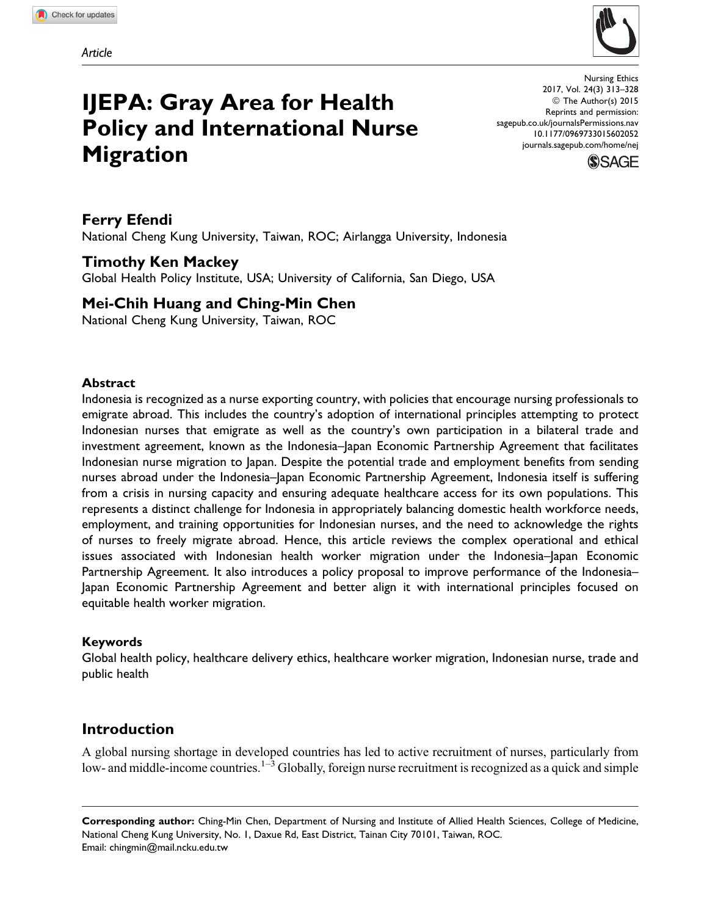

# IJEPA: Gray Area for Health Policy and International Nurse **Migration**

Nursing Ethics 2017, Vol. 24(3) 313–328 ª The Author(s) 2015 Reprints and permission: [sagepub.co.uk/journalsPermissions.nav](https://uk.sagepub.com/en-gb/journals-permissions) [10.1177/0969733015602052](https://doi.org/10.1177/0969733015602052) [journals.sagepub.com/home/nej](http://journals.sagepub.com/home/nej)



Ferry Efendi National Cheng Kung University, Taiwan, ROC; Airlangga University, Indonesia

# Timothy Ken Mackey

Global Health Policy Institute, USA; University of California, San Diego, USA

# Mei-Chih Huang and Ching-Min Chen

National Cheng Kung University, Taiwan, ROC

## Abstract

Indonesia is recognized as a nurse exporting country, with policies that encourage nursing professionals to emigrate abroad. This includes the country's adoption of international principles attempting to protect Indonesian nurses that emigrate as well as the country's own participation in a bilateral trade and investment agreement, known as the Indonesia–Japan Economic Partnership Agreement that facilitates Indonesian nurse migration to Japan. Despite the potential trade and employment benefits from sending nurses abroad under the Indonesia-Japan Economic Partnership Agreement, Indonesia itself is suffering from a crisis in nursing capacity and ensuring adequate healthcare access for its own populations. This represents a distinct challenge for Indonesia in appropriately balancing domestic health workforce needs, employment, and training opportunities for Indonesian nurses, and the need to acknowledge the rights of nurses to freely migrate abroad. Hence, this article reviews the complex operational and ethical issues associated with Indonesian health worker migration under the Indonesia–Japan Economic Partnership Agreement. It also introduces a policy proposal to improve performance of the Indonesia– Japan Economic Partnership Agreement and better align it with international principles focused on equitable health worker migration.

## Keywords

Global health policy, healthcare delivery ethics, healthcare worker migration, Indonesian nurse, trade and public health

# Introduction

A global nursing shortage in developed countries has led to active recruitment of nurses, particularly from low- and middle-income countries.<sup>1–3</sup> Globally, foreign nurse recruitment is recognized as a quick and simple

Corresponding author: Ching-Min Chen, Department of Nursing and Institute of Allied Health Sciences, College of Medicine, National Cheng Kung University, No. 1, Daxue Rd, East District, Tainan City 70101, Taiwan, ROC. Email: chingmin@mail.ncku.edu.tw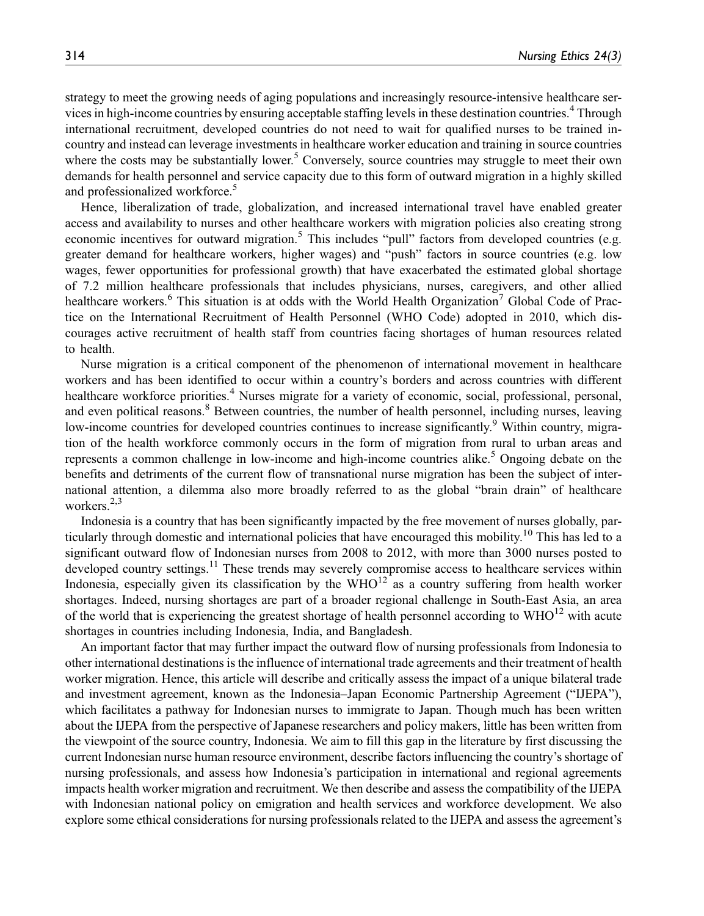strategy to meet the growing needs of aging populations and increasingly resource-intensive healthcare services in high-income countries by ensuring acceptable staffing levels in these destination countries.<sup>4</sup> Through international recruitment, developed countries do not need to wait for qualified nurses to be trained incountry and instead can leverage investments in healthcare worker education and training in source countries where the costs may be substantially lower.<sup>5</sup> Conversely, source countries may struggle to meet their own demands for health personnel and service capacity due to this form of outward migration in a highly skilled and professionalized workforce.<sup>5</sup>

Hence, liberalization of trade, globalization, and increased international travel have enabled greater access and availability to nurses and other healthcare workers with migration policies also creating strong economic incentives for outward migration.<sup>5</sup> This includes "pull" factors from developed countries (e.g. greater demand for healthcare workers, higher wages) and "push" factors in source countries (e.g. low wages, fewer opportunities for professional growth) that have exacerbated the estimated global shortage of 7.2 million healthcare professionals that includes physicians, nurses, caregivers, and other allied healthcare workers.<sup>6</sup> This situation is at odds with the World Health Organization<sup>7</sup> Global Code of Practice on the International Recruitment of Health Personnel (WHO Code) adopted in 2010, which discourages active recruitment of health staff from countries facing shortages of human resources related to health.

Nurse migration is a critical component of the phenomenon of international movement in healthcare workers and has been identified to occur within a country's borders and across countries with different healthcare workforce priorities.<sup>4</sup> Nurses migrate for a variety of economic, social, professional, personal, and even political reasons.<sup>8</sup> Between countries, the number of health personnel, including nurses, leaving low-income countries for developed countries continues to increase significantly.<sup>9</sup> Within country, migration of the health workforce commonly occurs in the form of migration from rural to urban areas and represents a common challenge in low-income and high-income countries alike.<sup>5</sup> Ongoing debate on the benefits and detriments of the current flow of transnational nurse migration has been the subject of international attention, a dilemma also more broadly referred to as the global "brain drain" of healthcare workers.<sup>2,3</sup>

Indonesia is a country that has been significantly impacted by the free movement of nurses globally, particularly through domestic and international policies that have encouraged this mobility.<sup>10</sup> This has led to a significant outward flow of Indonesian nurses from 2008 to 2012, with more than 3000 nurses posted to developed country settings.<sup>11</sup> These trends may severely compromise access to healthcare services within Indonesia, especially given its classification by the  $WHO<sup>12</sup>$  as a country suffering from health worker shortages. Indeed, nursing shortages are part of a broader regional challenge in South-East Asia, an area of the world that is experiencing the greatest shortage of health personnel according to  $WHO<sup>12</sup>$  with acute shortages in countries including Indonesia, India, and Bangladesh.

An important factor that may further impact the outward flow of nursing professionals from Indonesia to other international destinations is the influence of international trade agreements and their treatment of health worker migration. Hence, this article will describe and critically assess the impact of a unique bilateral trade and investment agreement, known as the Indonesia–Japan Economic Partnership Agreement ("IJEPA"), which facilitates a pathway for Indonesian nurses to immigrate to Japan. Though much has been written about the IJEPA from the perspective of Japanese researchers and policy makers, little has been written from the viewpoint of the source country, Indonesia. We aim to fill this gap in the literature by first discussing the current Indonesian nurse human resource environment, describe factors influencing the country's shortage of nursing professionals, and assess how Indonesia's participation in international and regional agreements impacts health worker migration and recruitment. We then describe and assess the compatibility of the IJEPA with Indonesian national policy on emigration and health services and workforce development. We also explore some ethical considerations for nursing professionals related to the IJEPA and assess the agreement's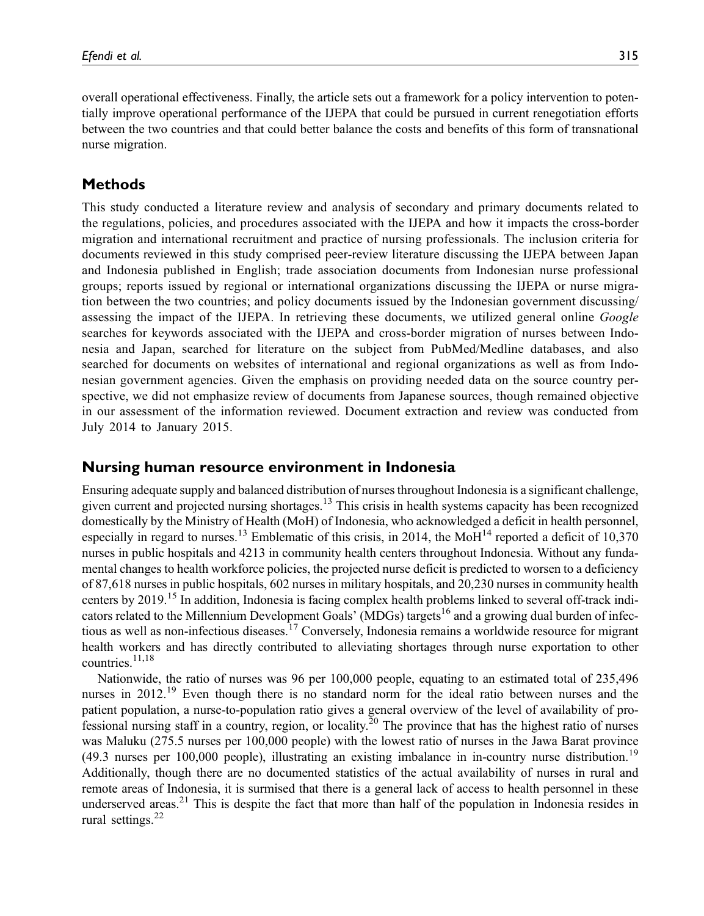overall operational effectiveness. Finally, the article sets out a framework for a policy intervention to potentially improve operational performance of the IJEPA that could be pursued in current renegotiation efforts between the two countries and that could better balance the costs and benefits of this form of transnational nurse migration.

## Methods

This study conducted a literature review and analysis of secondary and primary documents related to the regulations, policies, and procedures associated with the IJEPA and how it impacts the cross-border migration and international recruitment and practice of nursing professionals. The inclusion criteria for documents reviewed in this study comprised peer-review literature discussing the IJEPA between Japan and Indonesia published in English; trade association documents from Indonesian nurse professional groups; reports issued by regional or international organizations discussing the IJEPA or nurse migration between the two countries; and policy documents issued by the Indonesian government discussing/ assessing the impact of the IJEPA. In retrieving these documents, we utilized general online Google searches for keywords associated with the IJEPA and cross-border migration of nurses between Indonesia and Japan, searched for literature on the subject from PubMed/Medline databases, and also searched for documents on websites of international and regional organizations as well as from Indonesian government agencies. Given the emphasis on providing needed data on the source country perspective, we did not emphasize review of documents from Japanese sources, though remained objective in our assessment of the information reviewed. Document extraction and review was conducted from July 2014 to January 2015.

#### Nursing human resource environment in Indonesia

Ensuring adequate supply and balanced distribution of nurses throughout Indonesia is a significant challenge, given current and projected nursing shortages.<sup>13</sup> This crisis in health systems capacity has been recognized domestically by the Ministry of Health (MoH) of Indonesia, who acknowledged a deficit in health personnel, especially in regard to nurses.<sup>13</sup> Emblematic of this crisis, in 2014, the MoH<sup>14</sup> reported a deficit of 10,370 nurses in public hospitals and 4213 in community health centers throughout Indonesia. Without any fundamental changes to health workforce policies, the projected nurse deficit is predicted to worsen to a deficiency of 87,618 nurses in public hospitals, 602 nurses in military hospitals, and 20,230 nurses in community health centers by 2019.<sup>15</sup> In addition, Indonesia is facing complex health problems linked to several off-track indicators related to the Millennium Development Goals' (MDGs) targets<sup>16</sup> and a growing dual burden of infectious as well as non-infectious diseases.<sup>17</sup> Conversely, Indonesia remains a worldwide resource for migrant health workers and has directly contributed to alleviating shortages through nurse exportation to other  $countries$ <sup>11,18</sup>

Nationwide, the ratio of nurses was 96 per 100,000 people, equating to an estimated total of 235,496 nurses in 2012.<sup>19</sup> Even though there is no standard norm for the ideal ratio between nurses and the patient population, a nurse-to-population ratio gives a general overview of the level of availability of professional nursing staff in a country, region, or locality.20 The province that has the highest ratio of nurses was Maluku (275.5 nurses per 100,000 people) with the lowest ratio of nurses in the Jawa Barat province (49.3 nurses per 100,000 people), illustrating an existing imbalance in in-country nurse distribution.<sup>19</sup> Additionally, though there are no documented statistics of the actual availability of nurses in rural and remote areas of Indonesia, it is surmised that there is a general lack of access to health personnel in these underserved areas.<sup>21</sup> This is despite the fact that more than half of the population in Indonesia resides in rural settings.<sup>22</sup>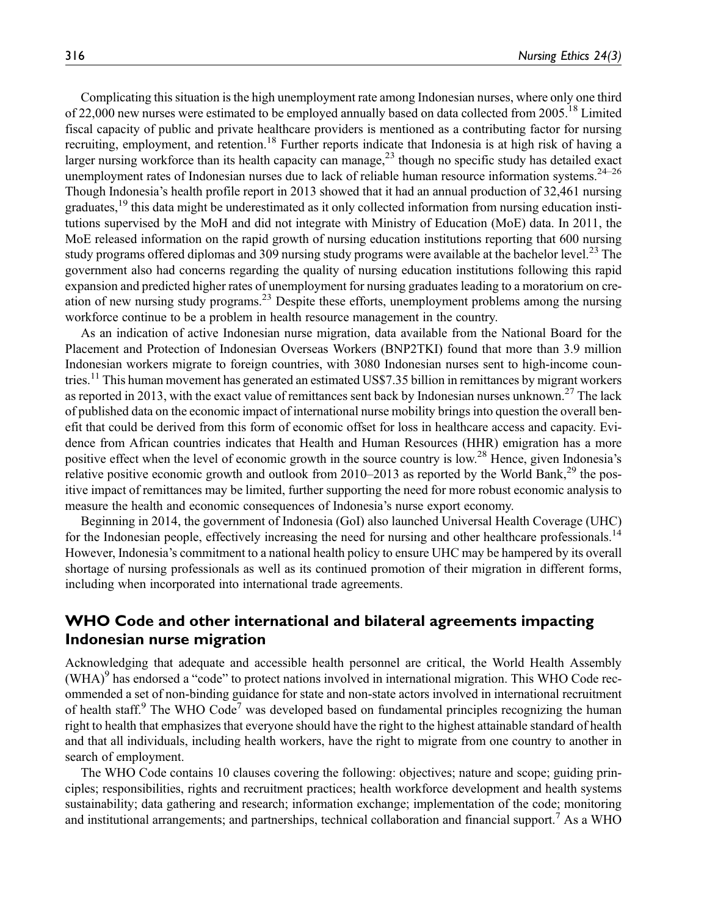Complicating this situation is the high unemployment rate among Indonesian nurses, where only one third of 22,000 new nurses were estimated to be employed annually based on data collected from 2005.<sup>18</sup> Limited fiscal capacity of public and private healthcare providers is mentioned as a contributing factor for nursing recruiting, employment, and retention.<sup>18</sup> Further reports indicate that Indonesia is at high risk of having a larger nursing workforce than its health capacity can manage,  $^{23}$  though no specific study has detailed exact unemployment rates of Indonesian nurses due to lack of reliable human resource information systems. $24-26$ Though Indonesia's health profile report in 2013 showed that it had an annual production of 32,461 nursing graduates,<sup>19</sup> this data might be underestimated as it only collected information from nursing education institutions supervised by the MoH and did not integrate with Ministry of Education (MoE) data. In 2011, the MoE released information on the rapid growth of nursing education institutions reporting that 600 nursing study programs offered diplomas and 309 nursing study programs were available at the bachelor level.<sup>23</sup> The government also had concerns regarding the quality of nursing education institutions following this rapid expansion and predicted higher rates of unemployment for nursing graduates leading to a moratorium on creation of new nursing study programs.<sup>23</sup> Despite these efforts, unemployment problems among the nursing workforce continue to be a problem in health resource management in the country.

As an indication of active Indonesian nurse migration, data available from the National Board for the Placement and Protection of Indonesian Overseas Workers (BNP2TKI) found that more than 3.9 million Indonesian workers migrate to foreign countries, with 3080 Indonesian nurses sent to high-income countries.<sup>11</sup> This human movement has generated an estimated US\$7.35 billion in remittances by migrant workers as reported in 2013, with the exact value of remittances sent back by Indonesian nurses unknown.<sup>27</sup> The lack of published data on the economic impact of international nurse mobility brings into question the overall benefit that could be derived from this form of economic offset for loss in healthcare access and capacity. Evidence from African countries indicates that Health and Human Resources (HHR) emigration has a more positive effect when the level of economic growth in the source country is low.<sup>28</sup> Hence, given Indonesia's relative positive economic growth and outlook from 2010–2013 as reported by the World Bank,<sup>29</sup> the positive impact of remittances may be limited, further supporting the need for more robust economic analysis to measure the health and economic consequences of Indonesia's nurse export economy.

Beginning in 2014, the government of Indonesia (GoI) also launched Universal Health Coverage (UHC) for the Indonesian people, effectively increasing the need for nursing and other healthcare professionals.<sup>14</sup> However, Indonesia's commitment to a national health policy to ensure UHC may be hampered by its overall shortage of nursing professionals as well as its continued promotion of their migration in different forms, including when incorporated into international trade agreements.

# WHO Code and other international and bilateral agreements impacting Indonesian nurse migration

Acknowledging that adequate and accessible health personnel are critical, the World Health Assembly (WHA)<sup>9</sup> has endorsed a "code" to protect nations involved in international migration. This WHO Code recommended a set of non-binding guidance for state and non-state actors involved in international recruitment of health staff. $\rm{9}$  The WHO Code<sup>7</sup> was developed based on fundamental principles recognizing the human right to health that emphasizes that everyone should have the right to the highest attainable standard of health and that all individuals, including health workers, have the right to migrate from one country to another in search of employment.

The WHO Code contains 10 clauses covering the following: objectives; nature and scope; guiding principles; responsibilities, rights and recruitment practices; health workforce development and health systems sustainability; data gathering and research; information exchange; implementation of the code; monitoring and institutional arrangements; and partnerships, technical collaboration and financial support.<sup>7</sup> As a WHO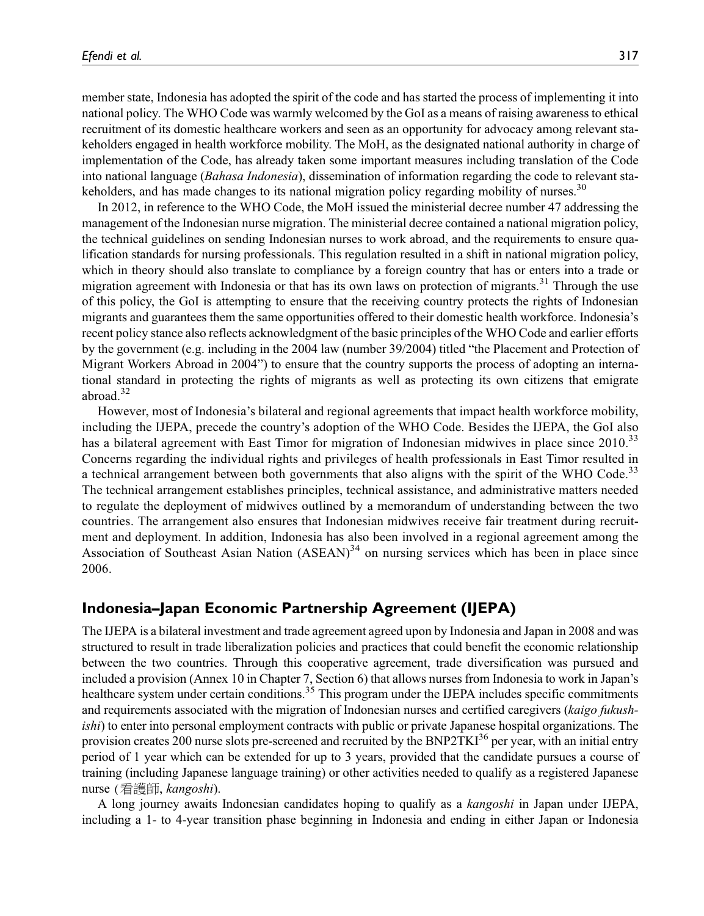member state, Indonesia has adopted the spirit of the code and has started the process of implementing it into national policy. The WHO Code was warmly welcomed by the GoI as a means of raising awareness to ethical recruitment of its domestic healthcare workers and seen as an opportunity for advocacy among relevant stakeholders engaged in health workforce mobility. The MoH, as the designated national authority in charge of implementation of the Code, has already taken some important measures including translation of the Code into national language (Bahasa Indonesia), dissemination of information regarding the code to relevant stakeholders, and has made changes to its national migration policy regarding mobility of nurses.<sup>30</sup>

In 2012, in reference to the WHO Code, the MoH issued the ministerial decree number 47 addressing the management of the Indonesian nurse migration. The ministerial decree contained a national migration policy, the technical guidelines on sending Indonesian nurses to work abroad, and the requirements to ensure qualification standards for nursing professionals. This regulation resulted in a shift in national migration policy, which in theory should also translate to compliance by a foreign country that has or enters into a trade or migration agreement with Indonesia or that has its own laws on protection of migrants.<sup>31</sup> Through the use of this policy, the GoI is attempting to ensure that the receiving country protects the rights of Indonesian migrants and guarantees them the same opportunities offered to their domestic health workforce. Indonesia's recent policy stance also reflects acknowledgment of the basic principles of the WHO Code and earlier efforts by the government (e.g. including in the 2004 law (number 39/2004) titled "the Placement and Protection of Migrant Workers Abroad in 2004") to ensure that the country supports the process of adopting an international standard in protecting the rights of migrants as well as protecting its own citizens that emigrate abroad.<sup>32</sup>

However, most of Indonesia's bilateral and regional agreements that impact health workforce mobility, including the IJEPA, precede the country's adoption of the WHO Code. Besides the IJEPA, the GoI also has a bilateral agreement with East Timor for migration of Indonesian midwives in place since 2010.<sup>33</sup> Concerns regarding the individual rights and privileges of health professionals in East Timor resulted in a technical arrangement between both governments that also aligns with the spirit of the WHO Code.<sup>33</sup> The technical arrangement establishes principles, technical assistance, and administrative matters needed to regulate the deployment of midwives outlined by a memorandum of understanding between the two countries. The arrangement also ensures that Indonesian midwives receive fair treatment during recruitment and deployment. In addition, Indonesia has also been involved in a regional agreement among the Association of Southeast Asian Nation  $(ASEAN)^{34}$  on nursing services which has been in place since 2006.

## Indonesia–Japan Economic Partnership Agreement (IJEPA)

The IJEPA is a bilateral investment and trade agreement agreed upon by Indonesia and Japan in 2008 and was structured to result in trade liberalization policies and practices that could benefit the economic relationship between the two countries. Through this cooperative agreement, trade diversification was pursued and included a provision (Annex 10 in Chapter 7, Section 6) that allows nurses from Indonesia to work in Japan's healthcare system under certain conditions.<sup>35</sup> This program under the IJEPA includes specific commitments and requirements associated with the migration of Indonesian nurses and certified caregivers (kaigo fukushishi) to enter into personal employment contracts with public or private Japanese hospital organizations. The provision creates 200 nurse slots pre-screened and recruited by the BNP2TKI $^{36}$  per year, with an initial entry period of 1 year which can be extended for up to 3 years, provided that the candidate pursues a course of training (including Japanese language training) or other activities needed to qualify as a registered Japanese nurse (看護師, kangoshi).

A long journey awaits Indonesian candidates hoping to qualify as a kangoshi in Japan under IJEPA, including a 1- to 4-year transition phase beginning in Indonesia and ending in either Japan or Indonesia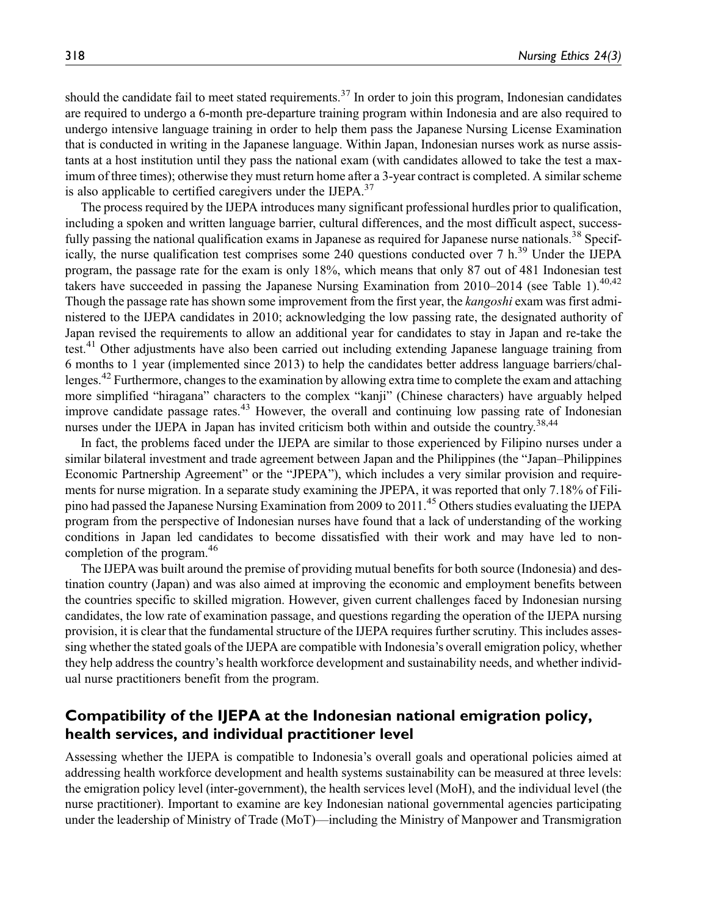should the candidate fail to meet stated requirements.<sup>37</sup> In order to join this program, Indonesian candidates are required to undergo a 6-month pre-departure training program within Indonesia and are also required to undergo intensive language training in order to help them pass the Japanese Nursing License Examination that is conducted in writing in the Japanese language. Within Japan, Indonesian nurses work as nurse assistants at a host institution until they pass the national exam (with candidates allowed to take the test a maximum of three times); otherwise they must return home after a 3-year contract is completed. A similar scheme is also applicable to certified caregivers under the IJEPA.<sup>37</sup>

The process required by the IJEPA introduces many significant professional hurdles prior to qualification, including a spoken and written language barrier, cultural differences, and the most difficult aspect, successfully passing the national qualification exams in Japanese as required for Japanese nurse nationals.<sup>38</sup> Specifically, the nurse qualification test comprises some 240 questions conducted over 7 h.<sup>39</sup> Under the IJEPA program, the passage rate for the exam is only 18%, which means that only 87 out of 481 Indonesian test takers have succeeded in passing the Japanese Nursing Examination from 2010–2014 (see Table 1).<sup>40,42</sup> Though the passage rate has shown some improvement from the first year, the kangoshi exam was first administered to the IJEPA candidates in 2010; acknowledging the low passing rate, the designated authority of Japan revised the requirements to allow an additional year for candidates to stay in Japan and re-take the test.<sup>41</sup> Other adjustments have also been carried out including extending Japanese language training from 6 months to 1 year (implemented since 2013) to help the candidates better address language barriers/challenges.<sup>42</sup> Furthermore, changes to the examination by allowing extra time to complete the exam and attaching more simplified "hiragana" characters to the complex "kanji" (Chinese characters) have arguably helped improve candidate passage rates.<sup>43</sup> However, the overall and continuing low passing rate of Indonesian nurses under the IJEPA in Japan has invited criticism both within and outside the country.<sup>38,44</sup>

In fact, the problems faced under the IJEPA are similar to those experienced by Filipino nurses under a similar bilateral investment and trade agreement between Japan and the Philippines (the "Japan–Philippines Economic Partnership Agreement" or the "JPEPA"), which includes a very similar provision and requirements for nurse migration. In a separate study examining the JPEPA, it was reported that only 7.18% of Filipino had passed the Japanese Nursing Examination from 2009 to 2011.45 Others studies evaluating the IJEPA program from the perspective of Indonesian nurses have found that a lack of understanding of the working conditions in Japan led candidates to become dissatisfied with their work and may have led to noncompletion of the program.<sup>46</sup>

The IJEPA was built around the premise of providing mutual benefits for both source (Indonesia) and destination country (Japan) and was also aimed at improving the economic and employment benefits between the countries specific to skilled migration. However, given current challenges faced by Indonesian nursing candidates, the low rate of examination passage, and questions regarding the operation of the IJEPA nursing provision, it is clear that the fundamental structure of the IJEPA requires further scrutiny. This includes assessing whether the stated goals of the IJEPA are compatible with Indonesia's overall emigration policy, whether they help address the country's health workforce development and sustainability needs, and whether individual nurse practitioners benefit from the program.

## Compatibility of the IJEPA at the Indonesian national emigration policy, health services, and individual practitioner level

Assessing whether the IJEPA is compatible to Indonesia's overall goals and operational policies aimed at addressing health workforce development and health systems sustainability can be measured at three levels: the emigration policy level (inter-government), the health services level (MoH), and the individual level (the nurse practitioner). Important to examine are key Indonesian national governmental agencies participating under the leadership of Ministry of Trade (MoT)—including the Ministry of Manpower and Transmigration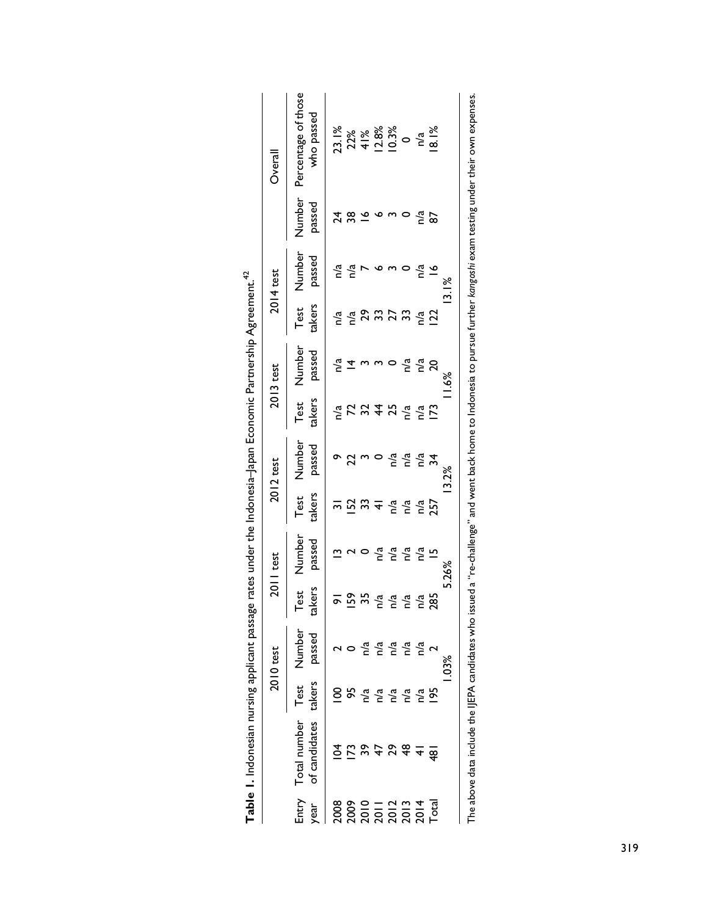|               | <b>Table 1.</b> Indonesian nursing applicant passage rates under the Indonesia-Japan Economic Partnership Agreement. <sup>42</sup> |                     |                  |                 |                       |                |                  |                |                  |                      |                       |        |                                                         |
|---------------|------------------------------------------------------------------------------------------------------------------------------------|---------------------|------------------|-----------------|-----------------------|----------------|------------------|----------------|------------------|----------------------|-----------------------|--------|---------------------------------------------------------|
|               |                                                                                                                                    | ຊ                   | IO test          |                 | 2011 test             |                | $2012$ test      |                | $2013$ test      |                      | $2014$ test           |        | Overall                                                 |
| Entry<br>year | Total number Test<br>of candidates                                                                                                 | takers              | Number<br>passed | takers          | Test Number<br>passed | Test<br>takers | Number<br>passed | Test<br>takers | Number<br>passed | takers               | Test Number<br>passed | passed | Number Percentage of those<br>who passed                |
|               | Z                                                                                                                                  | 8                   |                  | ᡡ               |                       |                |                  | n/a            | n/a              | n/a                  |                       |        | 23.1%                                                   |
|               | $\mathfrak{r}$                                                                                                                     |                     |                  | $\frac{5}{2}$   |                       |                |                  |                |                  | n/a                  | n/a                   | వి     |                                                         |
|               |                                                                                                                                    |                     |                  |                 |                       |                |                  |                |                  |                      |                       |        | $22%$<br>$41%$<br>$41%$<br>$12.8%$<br>$0$<br>$0$<br>$0$ |
|               |                                                                                                                                    |                     | n/a              | n/a             | n'a                   |                |                  |                |                  |                      |                       |        |                                                         |
|               |                                                                                                                                    |                     | n <sup>/a</sup>  | n <sup>/a</sup> | n/a                   | n/a            | n/a              | 25             |                  |                      |                       |        |                                                         |
|               | $37297 +$                                                                                                                          | $2a$ $2a$ $2b$ $2b$ | n/a              | n/a             | n/a                   | n/a            | n/a              | n/a            | n/a              | ౢ                    |                       |        |                                                         |
|               |                                                                                                                                    |                     | $\frac{a}{a}$    | n/a             | n/a                   | n/a            | n/a              | n <sup>a</sup> | n <sup>/a</sup>  | n <sup>/a</sup>      | n/a                   | n/a    | n/a                                                     |
|               | $\frac{1}{3}$                                                                                                                      |                     |                  | 285             |                       | 257            |                  | 52             | 20               | $\tilde{\mathbf{z}}$ |                       | 59     | 8.1%                                                    |
|               |                                                                                                                                    |                     | 03%              |                 | 5.26%                 |                | $13.2\%$         |                |                  |                      |                       |        |                                                         |
|               |                                                                                                                                    |                     |                  |                 |                       |                |                  |                |                  |                      |                       |        |                                                         |

| í<br>$\overline{\phantom{a}}$<br>í     |
|----------------------------------------|
| ׇׇ֚֕֡<br>l                             |
| ī<br>֦֦֚֚֚֚֝֝֝֝֬֝֝֬֝֬<br>$\frac{1}{2}$ |
| $\frac{1}{2}$                          |
| $\vdots$                               |
|                                        |
| ֕                                      |
| ׇ֚֘<br>ì                               |
| $\overline{1}$<br>I<br>ı               |

The above data include the IJEPA candidates who issued a "re-challenge" and went back home to Indonesia to pursue further kangoshi exam testing under their own expenses. The above data include the IJEPA candidates who issued a "re-challenge" and went back home to Indonesia to pursue further kangoshi exam testing under their own expenses.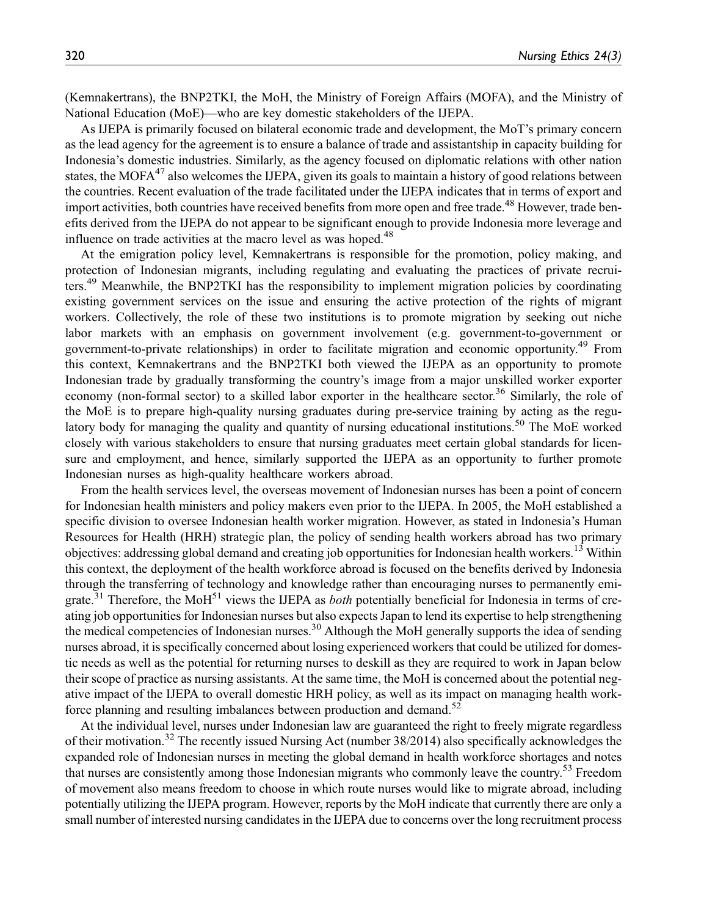(Kemnakertrans), the BNP2TKI, the MoH, the Ministry of Foreign Affairs (MOFA), and the Ministry of National Education (MoE)—who are key domestic stakeholders of the IJEPA.

As IJEPA is primarily focused on bilateral economic trade and development, the MoT's primary concern as the lead agency for the agreement is to ensure a balance of trade and assistantship in capacity building for Indonesia's domestic industries. Similarly, as the agency focused on diplomatic relations with other nation states, the MOFA<sup>47</sup> also welcomes the IJEPA, given its goals to maintain a history of good relations between the countries. Recent evaluation of the trade facilitated under the IJEPA indicates that in terms of export and import activities, both countries have received benefits from more open and free trade.<sup>48</sup> However, trade benefits derived from the IJEPA do not appear to be significant enough to provide Indonesia more leverage and influence on trade activities at the macro level as was hoped.<sup>48</sup>

At the emigration policy level, Kemnakertrans is responsible for the promotion, policy making, and protection of Indonesian migrants, including regulating and evaluating the practices of private recruiters.<sup>49</sup> Meanwhile, the BNP2TKI has the responsibility to implement migration policies by coordinating existing government services on the issue and ensuring the active protection of the rights of migrant workers. Collectively, the role of these two institutions is to promote migration by seeking out niche labor markets with an emphasis on government involvement (e.g. government-to-government or government-to-private relationships) in order to facilitate migration and economic opportunity.49 From this context, Kemnakertrans and the BNP2TKI both viewed the IJEPA as an opportunity to promote Indonesian trade by gradually transforming the country's image from a major unskilled worker exporter economy (non-formal sector) to a skilled labor exporter in the healthcare sector.<sup>36</sup> Similarly, the role of the MoE is to prepare high-quality nursing graduates during pre-service training by acting as the regulatory body for managing the quality and quantity of nursing educational institutions.<sup>50</sup> The MoE worked closely with various stakeholders to ensure that nursing graduates meet certain global standards for licensure and employment, and hence, similarly supported the IJEPA as an opportunity to further promote Indonesian nurses as high-quality healthcare workers abroad.

From the health services level, the overseas movement of Indonesian nurses has been a point of concern for Indonesian health ministers and policy makers even prior to the IJEPA. In 2005, the MoH established a specific division to oversee Indonesian health worker migration. However, as stated in Indonesia's Human Resources for Health (HRH) strategic plan, the policy of sending health workers abroad has two primary objectives: addressing global demand and creating job opportunities for Indonesian health workers.<sup>13</sup> Within this context, the deployment of the health workforce abroad is focused on the benefits derived by Indonesia through the transferring of technology and knowledge rather than encouraging nurses to permanently emigrate.<sup>31</sup> Therefore, the MoH<sup>51</sup> views the IJEPA as *both* potentially beneficial for Indonesia in terms of creating job opportunities for Indonesian nurses but also expects Japan to lend its expertise to help strengthening the medical competencies of Indonesian nurses.<sup>30</sup> Although the MoH generally supports the idea of sending nurses abroad, it is specifically concerned about losing experienced workers that could be utilized for domestic needs as well as the potential for returning nurses to deskill as they are required to work in Japan below their scope of practice as nursing assistants. At the same time, the MoH is concerned about the potential negative impact of the IJEPA to overall domestic HRH policy, as well as its impact on managing health workforce planning and resulting imbalances between production and demand. $52$ 

At the individual level, nurses under Indonesian law are guaranteed the right to freely migrate regardless of their motivation.<sup>32</sup> The recently issued Nursing Act (number 38/2014) also specifically acknowledges the expanded role of Indonesian nurses in meeting the global demand in health workforce shortages and notes that nurses are consistently among those Indonesian migrants who commonly leave the country.<sup>53</sup> Freedom of movement also means freedom to choose in which route nurses would like to migrate abroad, including potentially utilizing the IJEPA program. However, reports by the MoH indicate that currently there are only a small number of interested nursing candidates in the IJEPA due to concerns over the long recruitment process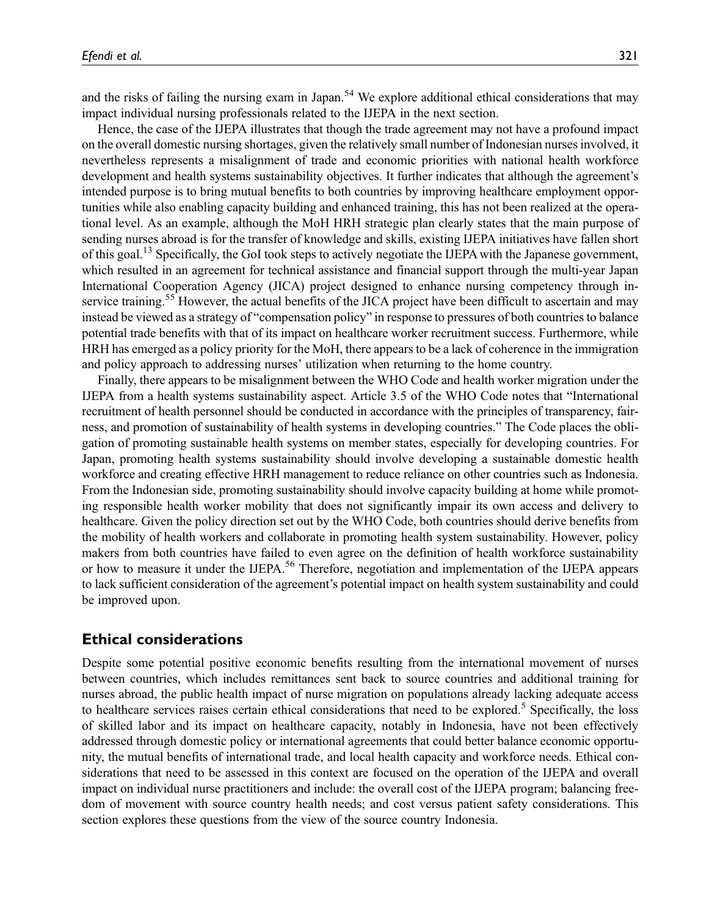and the risks of failing the nursing exam in Japan.<sup>54</sup> We explore additional ethical considerations that may impact individual nursing professionals related to the IJEPA in the next section.

Hence, the case of the IJEPA illustrates that though the trade agreement may not have a profound impact on the overall domestic nursing shortages, given the relatively small number of Indonesian nurses involved, it nevertheless represents a misalignment of trade and economic priorities with national health workforce development and health systems sustainability objectives. It further indicates that although the agreement's intended purpose is to bring mutual benefits to both countries by improving healthcare employment opportunities while also enabling capacity building and enhanced training, this has not been realized at the operational level. As an example, although the MoH HRH strategic plan clearly states that the main purpose of sending nurses abroad is for the transfer of knowledge and skills, existing IJEPA initiatives have fallen short of this goal.13 Specifically, the GoI took steps to actively negotiate the IJEPA with the Japanese government, which resulted in an agreement for technical assistance and financial support through the multi-year Japan International Cooperation Agency (JICA) project designed to enhance nursing competency through inservice training.<sup>55</sup> However, the actual benefits of the JICA project have been difficult to ascertain and may instead be viewed as a strategy of "compensation policy" in response to pressures of both countries to balance potential trade benefits with that of its impact on healthcare worker recruitment success. Furthermore, while HRH has emerged as a policy priority for the MoH, there appears to be a lack of coherence in the immigration and policy approach to addressing nurses' utilization when returning to the home country.

Finally, there appears to be misalignment between the WHO Code and health worker migration under the IJEPA from a health systems sustainability aspect. Article 3.5 of the WHO Code notes that "International recruitment of health personnel should be conducted in accordance with the principles of transparency, fairness, and promotion of sustainability of health systems in developing countries." The Code places the obligation of promoting sustainable health systems on member states, especially for developing countries. For Japan, promoting health systems sustainability should involve developing a sustainable domestic health workforce and creating effective HRH management to reduce reliance on other countries such as Indonesia. From the Indonesian side, promoting sustainability should involve capacity building at home while promoting responsible health worker mobility that does not significantly impair its own access and delivery to healthcare. Given the policy direction set out by the WHO Code, both countries should derive benefits from the mobility of health workers and collaborate in promoting health system sustainability. However, policy makers from both countries have failed to even agree on the definition of health workforce sustainability or how to measure it under the IJEPA.<sup>56</sup> Therefore, negotiation and implementation of the IJEPA appears to lack sufficient consideration of the agreement's potential impact on health system sustainability and could be improved upon.

## Ethical considerations

Despite some potential positive economic benefits resulting from the international movement of nurses between countries, which includes remittances sent back to source countries and additional training for nurses abroad, the public health impact of nurse migration on populations already lacking adequate access to healthcare services raises certain ethical considerations that need to be explored.<sup>5</sup> Specifically, the loss of skilled labor and its impact on healthcare capacity, notably in Indonesia, have not been effectively addressed through domestic policy or international agreements that could better balance economic opportunity, the mutual benefits of international trade, and local health capacity and workforce needs. Ethical considerations that need to be assessed in this context are focused on the operation of the IJEPA and overall impact on individual nurse practitioners and include: the overall cost of the IJEPA program; balancing freedom of movement with source country health needs; and cost versus patient safety considerations. This section explores these questions from the view of the source country Indonesia.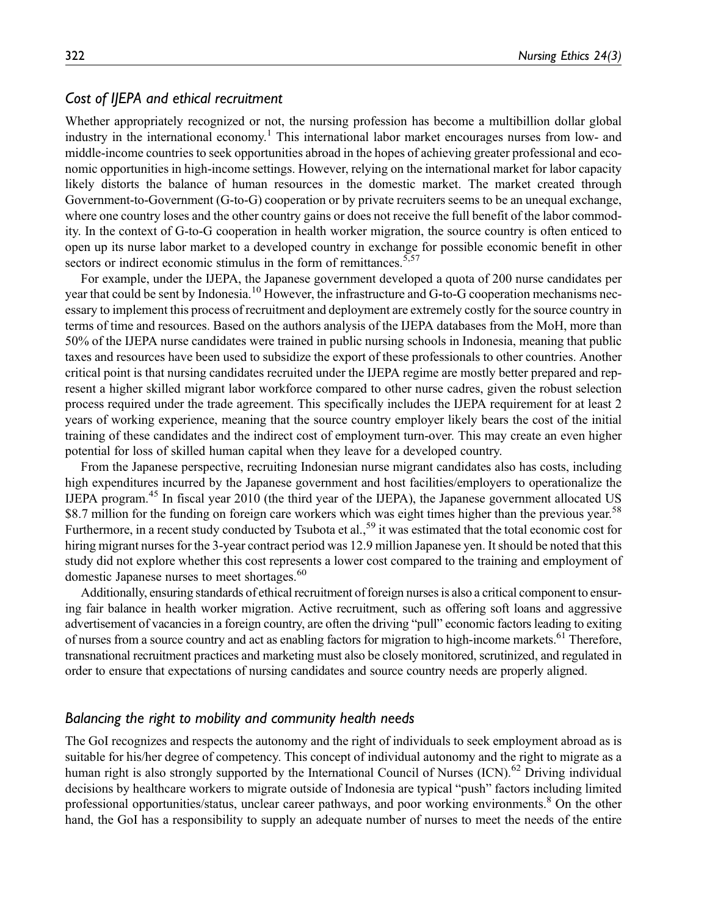## Cost of IJEPA and ethical recruitment

Whether appropriately recognized or not, the nursing profession has become a multibillion dollar global industry in the international economy.<sup>1</sup> This international labor market encourages nurses from low- and middle-income countries to seek opportunities abroad in the hopes of achieving greater professional and economic opportunities in high-income settings. However, relying on the international market for labor capacity likely distorts the balance of human resources in the domestic market. The market created through Government-to-Government (G-to-G) cooperation or by private recruiters seems to be an unequal exchange, where one country loses and the other country gains or does not receive the full benefit of the labor commodity. In the context of G-to-G cooperation in health worker migration, the source country is often enticed to open up its nurse labor market to a developed country in exchange for possible economic benefit in other sectors or indirect economic stimulus in the form of remittances.<sup>5,57</sup>

For example, under the IJEPA, the Japanese government developed a quota of 200 nurse candidates per year that could be sent by Indonesia.<sup>10</sup> However, the infrastructure and G-to-G cooperation mechanisms necessary to implement this process of recruitment and deployment are extremely costly for the source country in terms of time and resources. Based on the authors analysis of the IJEPA databases from the MoH, more than 50% of the IJEPA nurse candidates were trained in public nursing schools in Indonesia, meaning that public taxes and resources have been used to subsidize the export of these professionals to other countries. Another critical point is that nursing candidates recruited under the IJEPA regime are mostly better prepared and represent a higher skilled migrant labor workforce compared to other nurse cadres, given the robust selection process required under the trade agreement. This specifically includes the IJEPA requirement for at least 2 years of working experience, meaning that the source country employer likely bears the cost of the initial training of these candidates and the indirect cost of employment turn-over. This may create an even higher potential for loss of skilled human capital when they leave for a developed country.

From the Japanese perspective, recruiting Indonesian nurse migrant candidates also has costs, including high expenditures incurred by the Japanese government and host facilities/employers to operationalize the IJEPA program.<sup>45</sup> In fiscal year 2010 (the third year of the IJEPA), the Japanese government allocated US \$8.7 million for the funding on foreign care workers which was eight times higher than the previous year.<sup>58</sup> Furthermore, in a recent study conducted by Tsubota et al.,<sup>59</sup> it was estimated that the total economic cost for hiring migrant nurses for the 3-year contract period was 12.9 million Japanese yen. It should be noted that this study did not explore whether this cost represents a lower cost compared to the training and employment of domestic Japanese nurses to meet shortages.<sup>60</sup>

Additionally, ensuring standards of ethical recruitment of foreign nurses is also a critical component to ensuring fair balance in health worker migration. Active recruitment, such as offering soft loans and aggressive advertisement of vacancies in a foreign country, are often the driving "pull" economic factors leading to exiting of nurses from a source country and act as enabling factors for migration to high-income markets.<sup>61</sup> Therefore, transnational recruitment practices and marketing must also be closely monitored, scrutinized, and regulated in order to ensure that expectations of nursing candidates and source country needs are properly aligned.

## Balancing the right to mobility and community health needs

The GoI recognizes and respects the autonomy and the right of individuals to seek employment abroad as is suitable for his/her degree of competency. This concept of individual autonomy and the right to migrate as a human right is also strongly supported by the International Council of Nurses (ICN).<sup>62</sup> Driving individual decisions by healthcare workers to migrate outside of Indonesia are typical "push" factors including limited professional opportunities/status, unclear career pathways, and poor working environments.<sup>8</sup> On the other hand, the GoI has a responsibility to supply an adequate number of nurses to meet the needs of the entire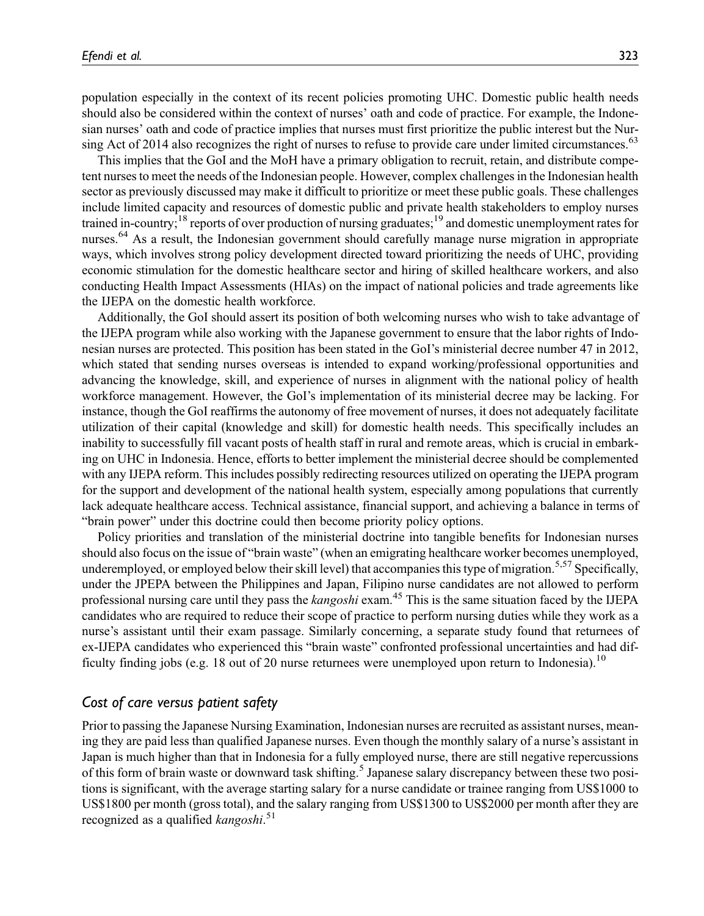population especially in the context of its recent policies promoting UHC. Domestic public health needs should also be considered within the context of nurses' oath and code of practice. For example, the Indonesian nurses' oath and code of practice implies that nurses must first prioritize the public interest but the Nursing Act of 2014 also recognizes the right of nurses to refuse to provide care under limited circumstances.<sup>63</sup>

This implies that the GoI and the MoH have a primary obligation to recruit, retain, and distribute competent nurses to meet the needs of the Indonesian people. However, complex challenges in the Indonesian health sector as previously discussed may make it difficult to prioritize or meet these public goals. These challenges include limited capacity and resources of domestic public and private health stakeholders to employ nurses trained in-country;<sup>18</sup> reports of over production of nursing graduates;<sup>19</sup> and domestic unemployment rates for nurses.<sup>64</sup> As a result, the Indonesian government should carefully manage nurse migration in appropriate ways, which involves strong policy development directed toward prioritizing the needs of UHC, providing economic stimulation for the domestic healthcare sector and hiring of skilled healthcare workers, and also conducting Health Impact Assessments (HIAs) on the impact of national policies and trade agreements like the IJEPA on the domestic health workforce.

Additionally, the GoI should assert its position of both welcoming nurses who wish to take advantage of the IJEPA program while also working with the Japanese government to ensure that the labor rights of Indonesian nurses are protected. This position has been stated in the GoI's ministerial decree number 47 in 2012, which stated that sending nurses overseas is intended to expand working/professional opportunities and advancing the knowledge, skill, and experience of nurses in alignment with the national policy of health workforce management. However, the GoI's implementation of its ministerial decree may be lacking. For instance, though the GoI reaffirms the autonomy of free movement of nurses, it does not adequately facilitate utilization of their capital (knowledge and skill) for domestic health needs. This specifically includes an inability to successfully fill vacant posts of health staff in rural and remote areas, which is crucial in embarking on UHC in Indonesia. Hence, efforts to better implement the ministerial decree should be complemented with any IJEPA reform. This includes possibly redirecting resources utilized on operating the IJEPA program for the support and development of the national health system, especially among populations that currently lack adequate healthcare access. Technical assistance, financial support, and achieving a balance in terms of "brain power" under this doctrine could then become priority policy options.

Policy priorities and translation of the ministerial doctrine into tangible benefits for Indonesian nurses should also focus on the issue of "brain waste" (when an emigrating healthcare worker becomes unemployed, underemployed, or employed below their skill level) that accompanies this type of migration.<sup>5,57</sup> Specifically, under the JPEPA between the Philippines and Japan, Filipino nurse candidates are not allowed to perform professional nursing care until they pass the *kangoshi* exam.<sup>45</sup> This is the same situation faced by the IJEPA candidates who are required to reduce their scope of practice to perform nursing duties while they work as a nurse's assistant until their exam passage. Similarly concerning, a separate study found that returnees of ex-IJEPA candidates who experienced this "brain waste" confronted professional uncertainties and had difficulty finding jobs (e.g. 18 out of 20 nurse returnees were unemployed upon return to Indonesia).<sup>10</sup>

#### Cost of care versus patient safety

Prior to passing the Japanese Nursing Examination, Indonesian nurses are recruited as assistant nurses, meaning they are paid less than qualified Japanese nurses. Even though the monthly salary of a nurse's assistant in Japan is much higher than that in Indonesia for a fully employed nurse, there are still negative repercussions of this form of brain waste or downward task shifting.<sup>5</sup> Japanese salary discrepancy between these two positions is significant, with the average starting salary for a nurse candidate or trainee ranging from US\$1000 to US\$1800 per month (gross total), and the salary ranging from US\$1300 to US\$2000 per month after they are recognized as a qualified kangoshi.<sup>51</sup>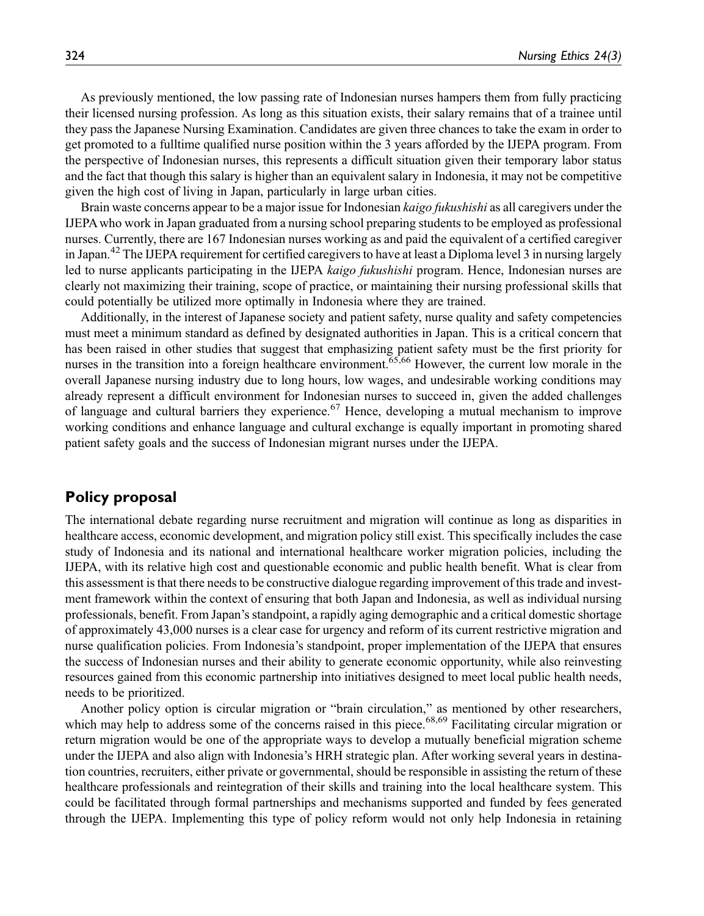As previously mentioned, the low passing rate of Indonesian nurses hampers them from fully practicing their licensed nursing profession. As long as this situation exists, their salary remains that of a trainee until they pass the Japanese Nursing Examination. Candidates are given three chances to take the exam in order to get promoted to a fulltime qualified nurse position within the 3 years afforded by the IJEPA program. From the perspective of Indonesian nurses, this represents a difficult situation given their temporary labor status and the fact that though this salary is higher than an equivalent salary in Indonesia, it may not be competitive given the high cost of living in Japan, particularly in large urban cities.

Brain waste concerns appear to be a major issue for Indonesian *kaigo fukushishi* as all caregivers under the IJEPAwho work in Japan graduated from a nursing school preparing students to be employed as professional nurses. Currently, there are 167 Indonesian nurses working as and paid the equivalent of a certified caregiver in Japan.<sup>42</sup> The IJEPA requirement for certified caregivers to have at least a Diploma level 3 in nursing largely led to nurse applicants participating in the IJEPA kaigo fukushishi program. Hence, Indonesian nurses are clearly not maximizing their training, scope of practice, or maintaining their nursing professional skills that could potentially be utilized more optimally in Indonesia where they are trained.

Additionally, in the interest of Japanese society and patient safety, nurse quality and safety competencies must meet a minimum standard as defined by designated authorities in Japan. This is a critical concern that has been raised in other studies that suggest that emphasizing patient safety must be the first priority for nurses in the transition into a foreign healthcare environment.<sup>65,66</sup> However, the current low morale in the overall Japanese nursing industry due to long hours, low wages, and undesirable working conditions may already represent a difficult environment for Indonesian nurses to succeed in, given the added challenges of language and cultural barriers they experience.<sup>67</sup> Hence, developing a mutual mechanism to improve working conditions and enhance language and cultural exchange is equally important in promoting shared patient safety goals and the success of Indonesian migrant nurses under the IJEPA.

## Policy proposal

The international debate regarding nurse recruitment and migration will continue as long as disparities in healthcare access, economic development, and migration policy still exist. This specifically includes the case study of Indonesia and its national and international healthcare worker migration policies, including the IJEPA, with its relative high cost and questionable economic and public health benefit. What is clear from this assessment is that there needs to be constructive dialogue regarding improvement of this trade and investment framework within the context of ensuring that both Japan and Indonesia, as well as individual nursing professionals, benefit. From Japan's standpoint, a rapidly aging demographic and a critical domestic shortage of approximately 43,000 nurses is a clear case for urgency and reform of its current restrictive migration and nurse qualification policies. From Indonesia's standpoint, proper implementation of the IJEPA that ensures the success of Indonesian nurses and their ability to generate economic opportunity, while also reinvesting resources gained from this economic partnership into initiatives designed to meet local public health needs, needs to be prioritized.

Another policy option is circular migration or "brain circulation," as mentioned by other researchers, which may help to address some of the concerns raised in this piece.<sup>68,69</sup> Facilitating circular migration or return migration would be one of the appropriate ways to develop a mutually beneficial migration scheme under the IJEPA and also align with Indonesia's HRH strategic plan. After working several years in destination countries, recruiters, either private or governmental, should be responsible in assisting the return of these healthcare professionals and reintegration of their skills and training into the local healthcare system. This could be facilitated through formal partnerships and mechanisms supported and funded by fees generated through the IJEPA. Implementing this type of policy reform would not only help Indonesia in retaining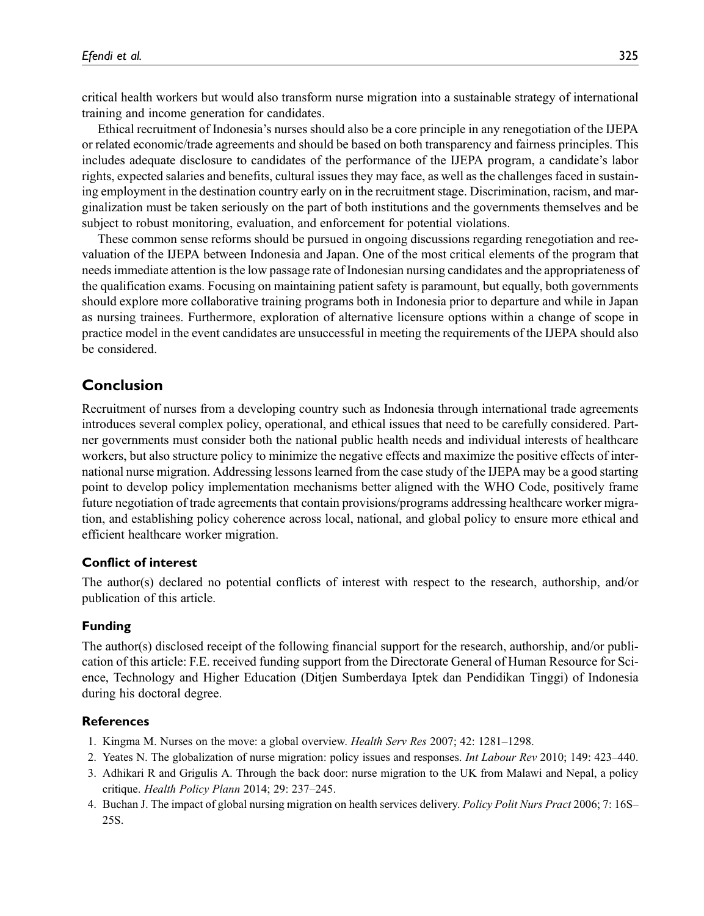critical health workers but would also transform nurse migration into a sustainable strategy of international training and income generation for candidates.

Ethical recruitment of Indonesia's nurses should also be a core principle in any renegotiation of the IJEPA or related economic/trade agreements and should be based on both transparency and fairness principles. This includes adequate disclosure to candidates of the performance of the IJEPA program, a candidate's labor rights, expected salaries and benefits, cultural issues they may face, as well as the challenges faced in sustaining employment in the destination country early on in the recruitment stage. Discrimination, racism, and marginalization must be taken seriously on the part of both institutions and the governments themselves and be subject to robust monitoring, evaluation, and enforcement for potential violations.

These common sense reforms should be pursued in ongoing discussions regarding renegotiation and reevaluation of the IJEPA between Indonesia and Japan. One of the most critical elements of the program that needs immediate attention is the low passage rate of Indonesian nursing candidates and the appropriateness of the qualification exams. Focusing on maintaining patient safety is paramount, but equally, both governments should explore more collaborative training programs both in Indonesia prior to departure and while in Japan as nursing trainees. Furthermore, exploration of alternative licensure options within a change of scope in practice model in the event candidates are unsuccessful in meeting the requirements of the IJEPA should also be considered.

## Conclusion

Recruitment of nurses from a developing country such as Indonesia through international trade agreements introduces several complex policy, operational, and ethical issues that need to be carefully considered. Partner governments must consider both the national public health needs and individual interests of healthcare workers, but also structure policy to minimize the negative effects and maximize the positive effects of international nurse migration. Addressing lessons learned from the case study of the IJEPA may be a good starting point to develop policy implementation mechanisms better aligned with the WHO Code, positively frame future negotiation of trade agreements that contain provisions/programs addressing healthcare worker migration, and establishing policy coherence across local, national, and global policy to ensure more ethical and efficient healthcare worker migration.

#### Conflict of interest

The author(s) declared no potential conflicts of interest with respect to the research, authorship, and/or publication of this article.

#### Funding

The author(s) disclosed receipt of the following financial support for the research, authorship, and/or publication of this article: F.E. received funding support from the Directorate General of Human Resource for Science, Technology and Higher Education (Ditjen Sumberdaya Iptek dan Pendidikan Tinggi) of Indonesia during his doctoral degree.

#### **References**

- 1. Kingma M. Nurses on the move: a global overview. Health Serv Res 2007; 42: 1281–1298.
- 2. Yeates N. The globalization of nurse migration: policy issues and responses. Int Labour Rev 2010; 149: 423–440.
- 3. Adhikari R and Grigulis A. Through the back door: nurse migration to the UK from Malawi and Nepal, a policy critique. Health Policy Plann 2014; 29: 237–245.
- 4. Buchan J. The impact of global nursing migration on health services delivery. Policy Polit Nurs Pract 2006; 7: 16S– 25S.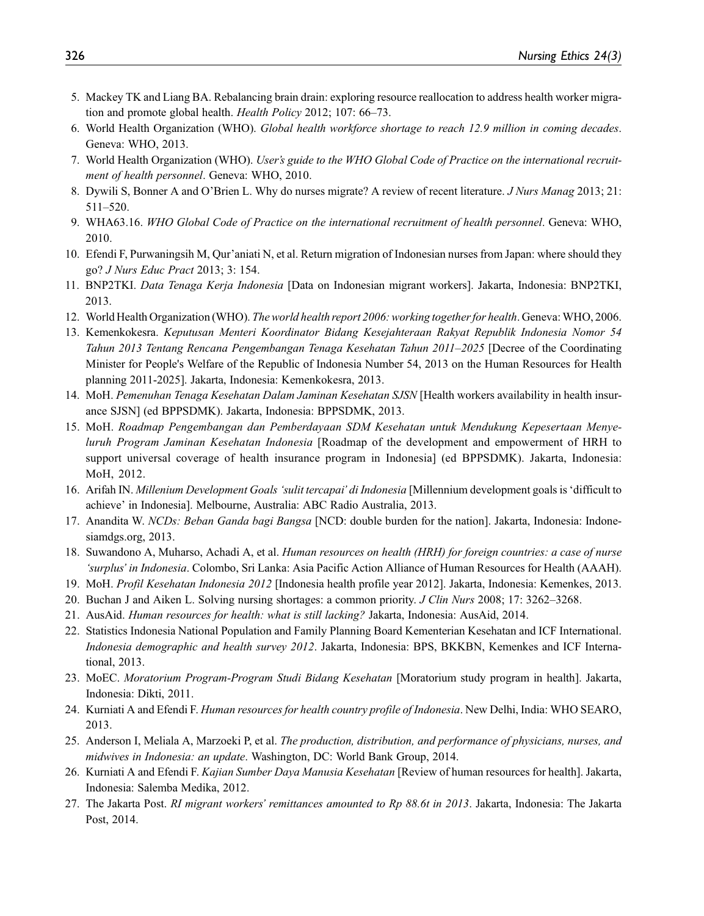- 5. Mackey TK and Liang BA. Rebalancing brain drain: exploring resource reallocation to address health worker migration and promote global health. Health Policy 2012; 107: 66–73.
- 6. World Health Organization (WHO). Global health workforce shortage to reach 12.9 million in coming decades. Geneva: WHO, 2013.
- 7. World Health Organization (WHO). User's guide to the WHO Global Code of Practice on the international recruitment of health personnel. Geneva: WHO, 2010.
- 8. Dywili S, Bonner A and O'Brien L. Why do nurses migrate? A review of recent literature. J Nurs Manag 2013; 21: 511–520.
- 9. WHA63.16. WHO Global Code of Practice on the international recruitment of health personnel. Geneva: WHO, 2010.
- 10. Efendi F, Purwaningsih M, Qur'aniati N, et al. Return migration of Indonesian nurses from Japan: where should they go? J Nurs Educ Pract 2013; 3: 154.
- 11. BNP2TKI. Data Tenaga Kerja Indonesia [Data on Indonesian migrant workers]. Jakarta, Indonesia: BNP2TKI, 2013.
- 12. World Health Organization (WHO). The world health report 2006: working together for health. Geneva: WHO, 2006.
- 13. Kemenkokesra. Keputusan Menteri Koordinator Bidang Kesejahteraan Rakyat Republik Indonesia Nomor 54 Tahun 2013 Tentang Rencana Pengembangan Tenaga Kesehatan Tahun 2011–2025 [Decree of the Coordinating Minister for People's Welfare of the Republic of Indonesia Number 54, 2013 on the Human Resources for Health planning 2011-2025]. Jakarta, Indonesia: Kemenkokesra, 2013.
- 14. MoH. Pemenuhan Tenaga Kesehatan Dalam Jaminan Kesehatan SJSN [Health workers availability in health insurance SJSN] (ed BPPSDMK). Jakarta, Indonesia: BPPSDMK, 2013.
- 15. MoH. Roadmap Pengembangan dan Pemberdayaan SDM Kesehatan untuk Mendukung Kepesertaan Menyeluruh Program Jaminan Kesehatan Indonesia [Roadmap of the development and empowerment of HRH to support universal coverage of health insurance program in Indonesia] (ed BPPSDMK). Jakarta, Indonesia: MoH, 2012.
- 16. Arifah IN. Millenium Development Goals'sulit tercapai' di Indonesia [Millennium development goals is 'difficult to achieve' in Indonesia]. Melbourne, Australia: ABC Radio Australia, 2013.
- 17. Anandita W. NCDs: Beban Ganda bagi Bangsa [NCD: double burden for the nation]. Jakarta, Indonesia: Indonesiamdgs.org, 2013.
- 18. Suwandono A, Muharso, Achadi A, et al. Human resources on health (HRH) for foreign countries: a case of nurse 'surplus' in Indonesia. Colombo, Sri Lanka: Asia Pacific Action Alliance of Human Resources for Health (AAAH).
- 19. MoH. Profil Kesehatan Indonesia 2012 [Indonesia health profile year 2012]. Jakarta, Indonesia: Kemenkes, 2013.
- 20. Buchan J and Aiken L. Solving nursing shortages: a common priority. J Clin Nurs 2008; 17: 3262–3268.
- 21. AusAid. Human resources for health: what is still lacking? Jakarta, Indonesia: AusAid, 2014.
- 22. Statistics Indonesia National Population and Family Planning Board Kementerian Kesehatan and ICF International. Indonesia demographic and health survey 2012. Jakarta, Indonesia: BPS, BKKBN, Kemenkes and ICF International, 2013.
- 23. MoEC. Moratorium Program-Program Studi Bidang Kesehatan [Moratorium study program in health]. Jakarta, Indonesia: Dikti, 2011.
- 24. Kurniati A and Efendi F. Human resources for health country profile of Indonesia. New Delhi, India: WHO SEARO, 2013.
- 25. Anderson I, Meliala A, Marzoeki P, et al. The production, distribution, and performance of physicians, nurses, and midwives in Indonesia: an update. Washington, DC: World Bank Group, 2014.
- 26. Kurniati A and Efendi F. Kajian Sumber Daya Manusia Kesehatan [Review of human resources for health]. Jakarta, Indonesia: Salemba Medika, 2012.
- 27. The Jakarta Post. RI migrant workers' remittances amounted to Rp 88.6t in 2013. Jakarta, Indonesia: The Jakarta Post, 2014.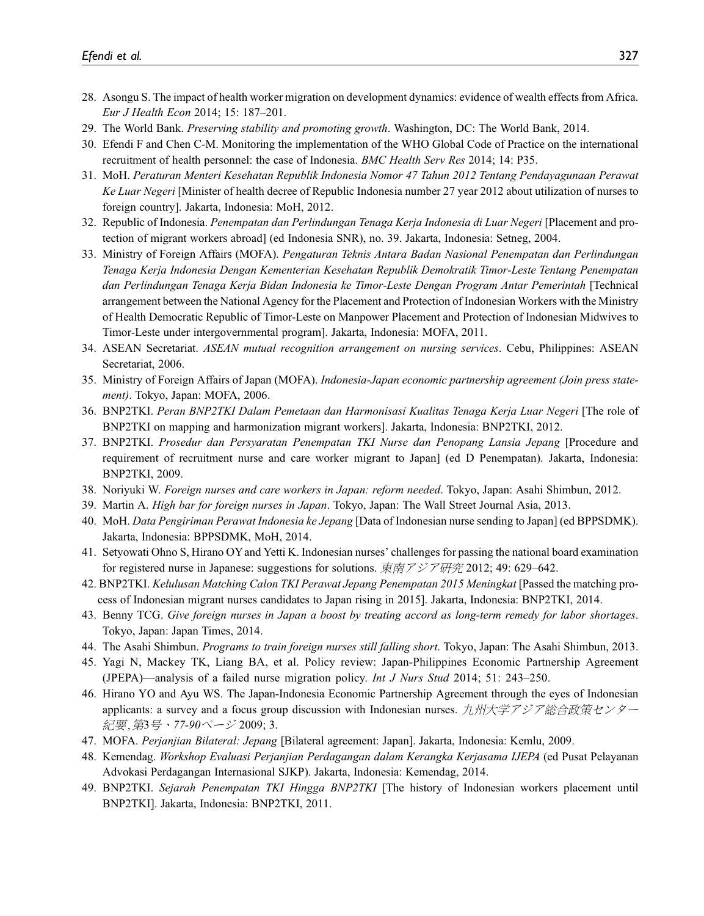- 28. Asongu S. The impact of health worker migration on development dynamics: evidence of wealth effects from Africa. Eur J Health Econ 2014; 15: 187–201.
- 29. The World Bank. Preserving stability and promoting growth. Washington, DC: The World Bank, 2014.
- 30. Efendi F and Chen C-M. Monitoring the implementation of the WHO Global Code of Practice on the international recruitment of health personnel: the case of Indonesia. BMC Health Serv Res 2014; 14: P35.
- 31. MoH. Peraturan Menteri Kesehatan Republik Indonesia Nomor 47 Tahun 2012 Tentang Pendayagunaan Perawat Ke Luar Negeri [Minister of health decree of Republic Indonesia number 27 year 2012 about utilization of nurses to foreign country]. Jakarta, Indonesia: MoH, 2012.
- 32. Republic of Indonesia. Penempatan dan Perlindungan Tenaga Kerja Indonesia di Luar Negeri [Placement and protection of migrant workers abroad] (ed Indonesia SNR), no. 39. Jakarta, Indonesia: Setneg, 2004.
- 33. Ministry of Foreign Affairs (MOFA). Pengaturan Teknis Antara Badan Nasional Penempatan dan Perlindungan Tenaga Kerja Indonesia Dengan Kementerian Kesehatan Republik Demokratik Timor-Leste Tentang Penempatan dan Perlindungan Tenaga Kerja Bidan Indonesia ke Timor-Leste Dengan Program Antar Pemerintah [Technical arrangement between the National Agency for the Placement and Protection of Indonesian Workers with the Ministry of Health Democratic Republic of Timor-Leste on Manpower Placement and Protection of Indonesian Midwives to Timor-Leste under intergovernmental program]. Jakarta, Indonesia: MOFA, 2011.
- 34. ASEAN Secretariat. ASEAN mutual recognition arrangement on nursing services. Cebu, Philippines: ASEAN Secretariat, 2006.
- 35. Ministry of Foreign Affairs of Japan (MOFA). Indonesia-Japan economic partnership agreement (Join press statement). Tokyo, Japan: MOFA, 2006.
- 36. BNP2TKI. Peran BNP2TKI Dalam Pemetaan dan Harmonisasi Kualitas Tenaga Kerja Luar Negeri [The role of BNP2TKI on mapping and harmonization migrant workers]. Jakarta, Indonesia: BNP2TKI, 2012.
- 37. BNP2TKI. Prosedur dan Persyaratan Penempatan TKI Nurse dan Penopang Lansia Jepang [Procedure and requirement of recruitment nurse and care worker migrant to Japan] (ed D Penempatan). Jakarta, Indonesia: BNP2TKI, 2009.
- 38. Noriyuki W. Foreign nurses and care workers in Japan: reform needed. Tokyo, Japan: Asahi Shimbun, 2012.
- 39. Martin A. High bar for foreign nurses in Japan. Tokyo, Japan: The Wall Street Journal Asia, 2013.
- 40. MoH. Data Pengiriman Perawat Indonesia ke Jepang [Data of Indonesian nurse sending to Japan] (ed BPPSDMK). Jakarta, Indonesia: BPPSDMK, MoH, 2014.
- 41. Setyowati Ohno S, Hirano OYand Yetti K. Indonesian nurses' challenges for passing the national board examination for registered nurse in Japanese: suggestions for solutions. 東南アジア研究 2012; 49: 629–642.
- 42. BNP2TKI. Kelulusan Matching Calon TKI Perawat Jepang Penempatan 2015 Meningkat [Passed the matching process of Indonesian migrant nurses candidates to Japan rising in 2015]. Jakarta, Indonesia: BNP2TKI, 2014.
- 43. Benny TCG. Give foreign nurses in Japan a boost by treating accord as long-term remedy for labor shortages. Tokyo, Japan: Japan Times, 2014.
- 44. The Asahi Shimbun. Programs to train foreign nurses still falling short. Tokyo, Japan: The Asahi Shimbun, 2013.
- 45. Yagi N, Mackey TK, Liang BA, et al. Policy review: Japan-Philippines Economic Partnership Agreement (JPEPA)—analysis of a failed nurse migration policy. *Int J Nurs Stud* 2014; 51: 243–250.
- 46. Hirano YO and Ayu WS. The Japan-Indonesia Economic Partnership Agreement through the eyes of Indonesian applicants: a survey and a focus group discussion with Indonesian nurses. 九州大学アジア総合政策センター 紀要,第3号、77-90ページ 2009; 3.
- 47. MOFA. Perjanjian Bilateral: Jepang [Bilateral agreement: Japan]. Jakarta, Indonesia: Kemlu, 2009.
- 48. Kemendag. Workshop Evaluasi Perjanjian Perdagangan dalam Kerangka Kerjasama IJEPA (ed Pusat Pelayanan Advokasi Perdagangan Internasional SJKP). Jakarta, Indonesia: Kemendag, 2014.
- 49. BNP2TKI. Sejarah Penempatan TKI Hingga BNP2TKI [The history of Indonesian workers placement until BNP2TKI]. Jakarta, Indonesia: BNP2TKI, 2011.